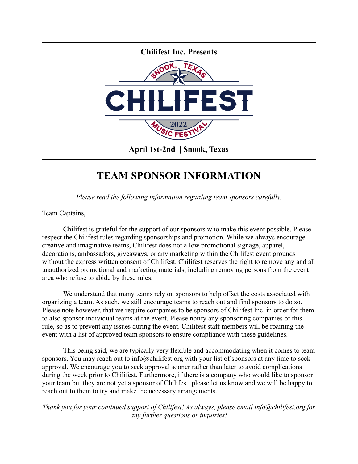

## **TEAM SPONSOR INFORMATION**

*Please read the following information regarding team sponsors carefully.*

Team Captains,

Chilifest is grateful for the support of our sponsors who make this event possible. Please respect the Chilifest rules regarding sponsorships and promotion. While we always encourage creative and imaginative teams, Chilifest does not allow promotional signage, apparel, decorations, ambassadors, giveaways, or any marketing within the Chilifest event grounds without the express written consent of Chilifest. Chilifest reserves the right to remove any and all unauthorized promotional and marketing materials, including removing persons from the event area who refuse to abide by these rules.

We understand that many teams rely on sponsors to help offset the costs associated with organizing a team. As such, we still encourage teams to reach out and find sponsors to do so. Please note however, that we require companies to be sponsors of Chilifest Inc. in order for them to also sponsor individual teams at the event. Please notify any sponsoring companies of this rule, so as to prevent any issues during the event. Chilifest staff members will be roaming the event with a list of approved team sponsors to ensure compliance with these guidelines.

This being said, we are typically very flexible and accommodating when it comes to team sponsors. You may reach out to info@chilifest.org with your list of sponsors at any time to seek approval. We encourage you to seek approval sooner rather than later to avoid complications during the week prior to Chilifest. Furthermore, if there is a company who would like to sponsor your team but they are not yet a sponsor of Chilifest, please let us know and we will be happy to reach out to them to try and make the necessary arrangements.

*Thank you for your continued support of Chilifest! As always, please email info@chilifest.org for any further questions or inquiries!*